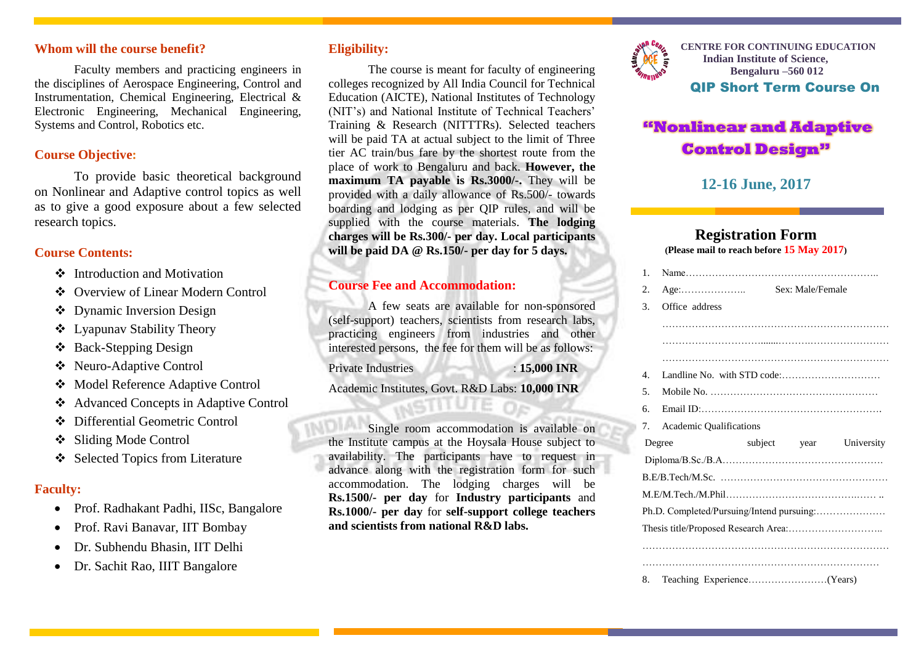#### **Whom will the course benefit?**

Faculty members and practicing engineers in the disciplines of Aerospace Engineering, Control and Instrumentation, Chemical Engineering, Electrical & Electronic Engineering, Mechanical Engineering, Systems and Control, Robotics etc.

#### **Course Objective:**

To provide basic theoretical background on Nonlinear and Adaptive control topics as well as to give a good exposure about a few selected research topics.

#### **Course Contents:**

- Introduction and Motivation
- Overview of Linear Modern Control
- Dynamic Inversion Design
- Lyapunav Stability Theory
- Back-Stepping Design
- Neuro-Adaptive Control
- Model Reference Adaptive Control
- Advanced Concepts in Adaptive Control
- ◆ Differential Geometric Control
- Sliding Mode Control
- Selected Topics from Literature

#### **Faculty:**

- Prof. Radhakant Padhi, IISc, Bangalore
- Prof. Ravi Banavar, IIT Bombay
- Dr. Subhendu Bhasin, IIT Delhi
- Dr. Sachit Rao, IIIT Bangalore

### **Eligibility:**

The course is meant for faculty of engineering colleges recognized by All India Council for Technical Education (AICTE), National Institutes of Technology (NIT's) and National Institute of Technical Teachers' Training & Research (NITTTRs). Selected teachers will be paid TA at actual subject to the limit of Three tier AC train/bus fare by the shortest route from the place of work to Bengaluru and back. **However, the maximum TA payable is Rs.3000/-.** They will be provided with a daily allowance of Rs.500/- towards boarding and lodging as per QIP rules, and will be supplied with the course materials. **The lodging charges will be Rs.300/- per day. Local participants will be paid DA @ Rs.150/- per day for 5 days.**

#### **Course Fee and Accommodation:**

A few seats are available for non-sponsored (self-support) teachers, scientists from research labs, practicing engineers from industries and other interested persons, the fee for them will be as follows:

Private Industries : **15,000 INR**

Academic Institutes, Govt. R&D Labs: **10,000 INR**

Single room accommodation is available on the Institute campus at the Hoysala House subject to availability. The participants have to request in advance along with the registration form for such accommodation. The lodging charges will be **Rs.1500/- per day** for **Industry participants** and **Rs.1000/- per day** for **self-support college teachers and scientists from national R&D labs.**



**CENTRE FOR CONTINUING EDUCATION Indian Institute of Science, Bengaluru –560 012** QIP Short Term Course On

# **"Nonlinear and Adaptive Control Design"**

## **12-16 June, 2017**

#### **Registration Form (Please mail to reach before 15 May 2017)**

| $\mathbf{1}$ .                            |                                           |  |                  |            |  |
|-------------------------------------------|-------------------------------------------|--|------------------|------------|--|
| 2.                                        | $Age: \ldots \ldots \ldots \ldots \ldots$ |  | Sex: Male/Female |            |  |
| 3.                                        | Office address                            |  |                  |            |  |
|                                           |                                           |  |                  |            |  |
|                                           |                                           |  |                  |            |  |
|                                           |                                           |  |                  |            |  |
| $4_{\cdot}$                               |                                           |  |                  |            |  |
| .5                                        |                                           |  |                  |            |  |
| б.                                        |                                           |  |                  |            |  |
| 7.                                        | <b>Academic Qualifications</b>            |  |                  |            |  |
|                                           | Degree                                    |  | subject year     | University |  |
|                                           |                                           |  |                  |            |  |
|                                           |                                           |  |                  |            |  |
|                                           |                                           |  |                  |            |  |
| Ph.D. Completed/Pursuing/Intend pursuing: |                                           |  |                  |            |  |
|                                           |                                           |  |                  |            |  |
|                                           |                                           |  |                  |            |  |
|                                           |                                           |  |                  |            |  |
| 8.                                        |                                           |  |                  |            |  |